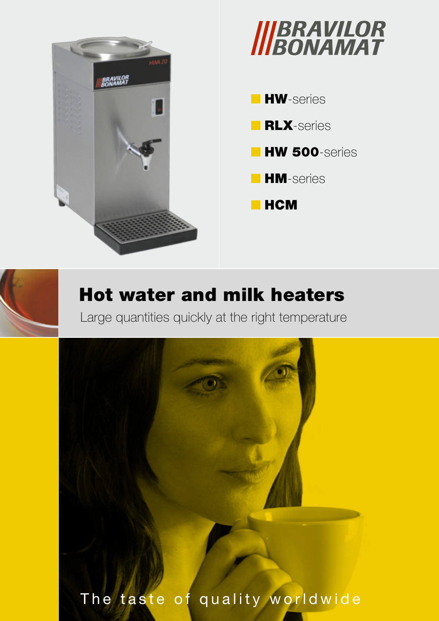



- **HW**-series **RLX**-series
- **HW 500**-series
- **HM-series**
- HCM

## Hot water and milk heaters

Large quantities quickly at the right temperature

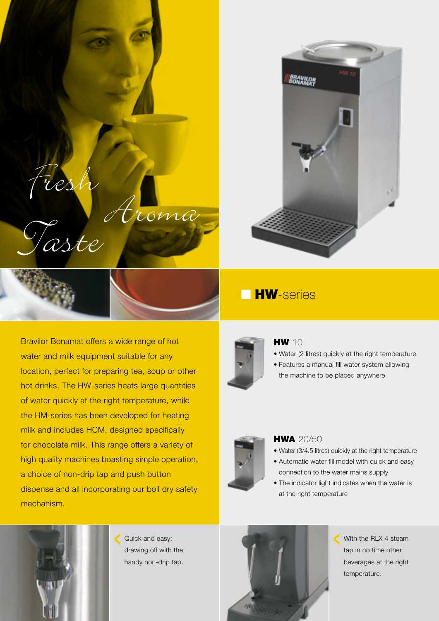



Bravilor Bonamat offers a wide range of hot water and milk equipment suitable for any location, perfect for preparing tea, soup or other hot drinks. The HW-series heats large quantities of water quickly at the right temperature, while the HM-series has been developed for heating milk and includes HCM, designed specifically for chocolate milk. This range offers a variety of high quality machines boasting simple operation, a choice of non-drip tap and push button dispense and all incorporating our boil dry safety mechanism.

Fresh Aroma Taste



#### **HW** 10

- • Water (2 litres) quickly at the right temperature
- • Features a manual fill water system allowing the machine to be placed anywhere



#### **HWA 20/50**

- Water (3/4.5 litres) quickly at the right temperature
- Automatic water fill model with quick and easy connection to the water mains supply
- The indicator light indicates when the water is at the right temperature



Quick and easy: drawing off with the handy non-drip tap.



With the RLX 4 steam tap in no time other beverages at the right temperature.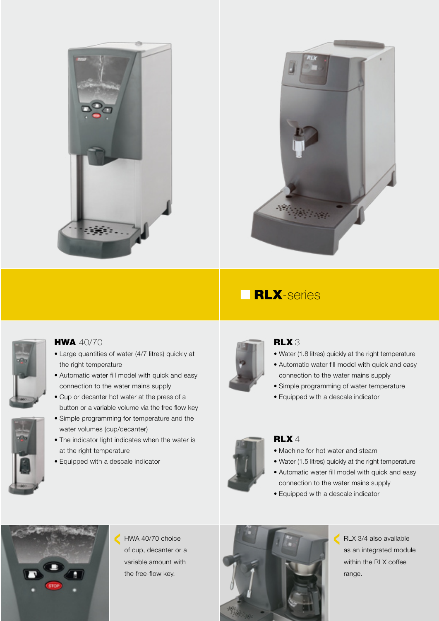



## **BLX**-series





#### **HWA 40/70**

- • Large quantities of water (4/7 litres) quickly at the right temperature
- Automatic water fill model with quick and easy connection to the water mains supply
- • Cup or decanter hot water at the press of a button or a variable volume via the free flow key
- • Simple programming for temperature and the water volumes (cup/decanter)
- The indicator light indicates when the water is at the right temperature
- Equipped with a descale indicator



#### RLX 3

- Water (1.8 litres) quickly at the right temperature
- Automatic water fill model with quick and easy connection to the water mains supply
- Simple programming of water temperature
- Equipped with a descale indicator



#### RLX<sup>4</sup>

- Machine for hot water and steam
- Water (1.5 litres) quickly at the right temperature
- Automatic water fill model with quick and easy connection to the water mains supply
- • Equipped with a descale indicator



HWA 40/70 choice of cup, decanter or a variable amount with the free-flow key.



RLX 3/4 also available C as an integrated module within the RLX coffee range.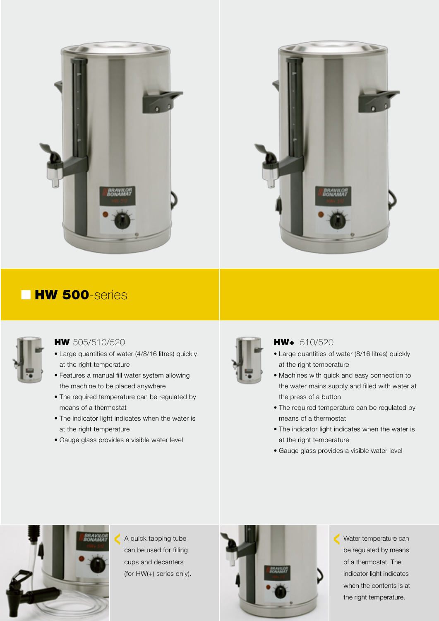



## **HW 500**-series



#### **HW** 505/510/520

- Large quantities of water (4/8/16 litres) quickly at the right temperature
- • Features a manual fill water system allowing the machine to be placed anywhere
- The required temperature can be regulated by means of a thermostat
- The indicator light indicates when the water is at the right temperature
- Gauge glass provides a visible water level



#### HW+ 510/520

- Large quantities of water (8/16 litres) quickly at the right temperature
- • Machines with quick and easy connection to the water mains supply and filled with water at the press of a button
- The required temperature can be regulated by means of a thermostat
- The indicator light indicates when the water is at the right temperature
- • Gauge glass provides a visible water level



A quick tapping tube can be used for filling cups and decanters (for HW(+) series only).



Water temperature can C be regulated by means of a thermostat. The indicator light indicates when the contents is at the right temperature.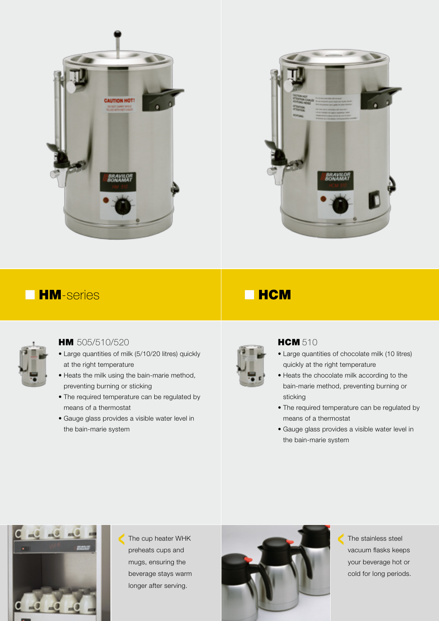



## ■ HM-series ■ HCM



#### **HM** 505/510/520

- Large quantities of milk (5/10/20 litres) quickly at the right temperature
- Heats the milk using the bain-marie method, preventing burning or sticking
- The required temperature can be regulated by means of a thermostat
- • Gauge glass provides a visible water level in the bain-marie system



#### **HCM 510**

- • Large quantities of chocolate milk (10 litres) quickly at the right temperature
- Heats the chocolate milk according to the bain-marie method, preventing burning or sticking
- The required temperature can be regulated by means of a thermostat
- • Gauge glass provides a visible water level in the bain-marie system



The cup heater WHK preheats cups and mugs, ensuring the beverage stays warm longer after serving.